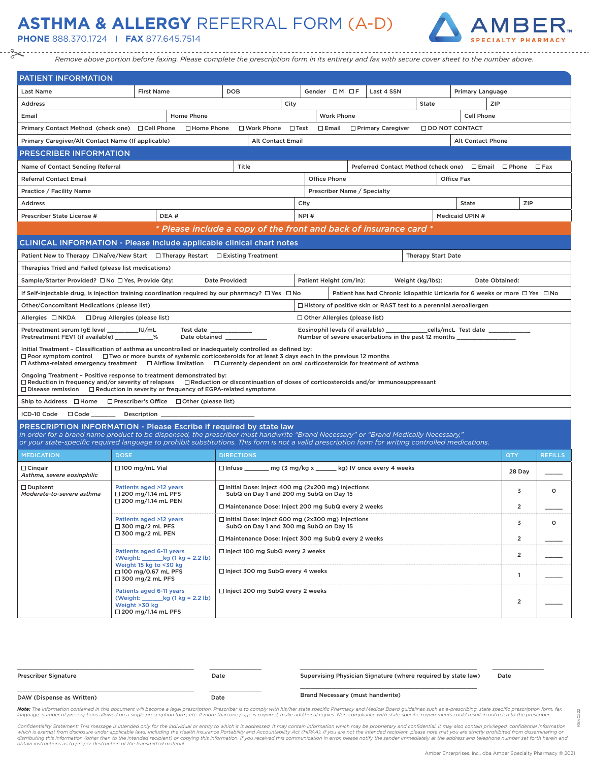## **ASTHMA & ALLERGY** REFERRAL FORM (A-D)

**PHONE** 888.370.1724 I **FAX** 877.645.7514



*Remove above portion before faxing. Please complete the prescription form in its entirety and fax with secure cover sheet to the number above.*

| <b>PATIENT INFORMATION</b>                                                                                                                                                                                                                                                                                                                                                                             |                                                                                                                     |                                                                   |                                                                                                     |                |                                                      |                                                      |                                                                                       |                           |                                    |                |                |
|--------------------------------------------------------------------------------------------------------------------------------------------------------------------------------------------------------------------------------------------------------------------------------------------------------------------------------------------------------------------------------------------------------|---------------------------------------------------------------------------------------------------------------------|-------------------------------------------------------------------|-----------------------------------------------------------------------------------------------------|----------------|------------------------------------------------------|------------------------------------------------------|---------------------------------------------------------------------------------------|---------------------------|------------------------------------|----------------|----------------|
| <b>Last Name</b>                                                                                                                                                                                                                                                                                                                                                                                       | <b>First Name</b>                                                                                                   |                                                                   | <b>DOB</b>                                                                                          |                | Gender OM OF                                         |                                                      | Last 4 SSN                                                                            |                           | Primary Language                   |                |                |
| Address                                                                                                                                                                                                                                                                                                                                                                                                |                                                                                                                     |                                                                   |                                                                                                     | City           |                                                      |                                                      |                                                                                       | State                     |                                    | ZIP            |                |
| Email                                                                                                                                                                                                                                                                                                                                                                                                  | Home Phone                                                                                                          |                                                                   |                                                                                                     |                | <b>Work Phone</b>                                    |                                                      |                                                                                       | Cell Phone                |                                    |                |                |
| Primary Contact Method (check one) □ Cell Phone                                                                                                                                                                                                                                                                                                                                                        |                                                                                                                     | □ Home Phone                                                      | $\square$ Work Phone                                                                                | $\square$ Text | $\Box$ Email                                         |                                                      | □ Primary Caregiver                                                                   | $\Box$ DO NOT CONTACT     |                                    |                |                |
| Primary Caregiver/Alt Contact Name (If applicable)<br><b>Alt Contact Email</b><br><b>Alt Contact Phone</b>                                                                                                                                                                                                                                                                                             |                                                                                                                     |                                                                   |                                                                                                     |                |                                                      |                                                      |                                                                                       |                           |                                    |                |                |
| <b>PRESCRIBER INFORMATION</b>                                                                                                                                                                                                                                                                                                                                                                          |                                                                                                                     |                                                                   |                                                                                                     |                |                                                      |                                                      |                                                                                       |                           |                                    |                |                |
| Name of Contact Sending Referral                                                                                                                                                                                                                                                                                                                                                                       |                                                                                                                     |                                                                   | Title                                                                                               |                |                                                      |                                                      | Preferred Contact Method (check one) □ Email □ Phone                                  |                           |                                    |                | $\square$ Fax  |
| <b>Referral Contact Email</b>                                                                                                                                                                                                                                                                                                                                                                          |                                                                                                                     |                                                                   |                                                                                                     |                | <b>Office Phone</b>                                  |                                                      |                                                                                       |                           | <b>Office Fax</b>                  |                |                |
| Practice / Facility Name<br>Prescriber Name / Specialty                                                                                                                                                                                                                                                                                                                                                |                                                                                                                     |                                                                   |                                                                                                     |                |                                                      |                                                      |                                                                                       |                           |                                    |                |                |
| <b>Address</b>                                                                                                                                                                                                                                                                                                                                                                                         |                                                                                                                     |                                                                   |                                                                                                     |                | City                                                 |                                                      |                                                                                       |                           | <b>State</b>                       | ZIP            |                |
| Prescriber State License #                                                                                                                                                                                                                                                                                                                                                                             | DEA#                                                                                                                |                                                                   |                                                                                                     |                | NPI#                                                 |                                                      |                                                                                       |                           | Medicaid UPIN #                    |                |                |
|                                                                                                                                                                                                                                                                                                                                                                                                        |                                                                                                                     |                                                                   |                                                                                                     |                |                                                      |                                                      | * Please include a copy of the front and back of insurance card *                     |                           |                                    |                |                |
| <b>CLINICAL INFORMATION - Please include applicable clinical chart notes</b>                                                                                                                                                                                                                                                                                                                           |                                                                                                                     |                                                                   |                                                                                                     |                |                                                      |                                                      |                                                                                       |                           |                                    |                |                |
| Patient New to Therapy $\Box$ Naïve/New Start $\Box$ Therapy Restart $\Box$ Existing Treatment                                                                                                                                                                                                                                                                                                         |                                                                                                                     |                                                                   |                                                                                                     |                |                                                      |                                                      |                                                                                       | <b>Therapy Start Date</b> |                                    |                |                |
| Therapies Tried and Failed (please list medications)                                                                                                                                                                                                                                                                                                                                                   |                                                                                                                     |                                                                   |                                                                                                     |                |                                                      |                                                      |                                                                                       |                           |                                    |                |                |
| Sample/Starter Provided? □ No □ Yes, Provide Qty:                                                                                                                                                                                                                                                                                                                                                      |                                                                                                                     | Date Provided:                                                    |                                                                                                     |                | Patient Height (cm/in):                              |                                                      |                                                                                       | Weight (kg/lbs):          |                                    | Date Obtained: |                |
| If Self-injectable drug, is injection training coordination required by our pharmacy? $\square$ Yes $\square$ No                                                                                                                                                                                                                                                                                       |                                                                                                                     |                                                                   |                                                                                                     |                |                                                      |                                                      | Patient has had Chronic Idiopathic Urticaria for 6 weeks or more $\Box$ Yes $\Box$ No |                           |                                    |                |                |
| Other/Concomitant Medications (please list)                                                                                                                                                                                                                                                                                                                                                            |                                                                                                                     |                                                                   |                                                                                                     |                |                                                      |                                                      | $\Box$ History of positive skin or RAST test to a perennial aeroallergen              |                           |                                    |                |                |
| Allergies □NKDA □ Drug Allergies (please list)                                                                                                                                                                                                                                                                                                                                                         |                                                                                                                     |                                                                   |                                                                                                     |                | $\Box$ Other Allergies (please list)                 |                                                      |                                                                                       |                           |                                    |                |                |
| Pretreatment serum IgE level ____<br>Pretreatment FEV1 (if available) ___________%                                                                                                                                                                                                                                                                                                                     | <b>IU/mL</b>                                                                                                        | Test date __<br>lest date ______________<br>Date obtained _______ |                                                                                                     |                | Eosinophil levels (if available)                     |                                                      | Number of severe exacerbations in the past 12 months ______                           |                           | _cells/mcL Test date _____________ |                |                |
| Initial Treatment - Classification of asthma as uncontrolled or inadequately controlled as defined by:<br>$\Box$ Poor symptom control $\quad \Box$ Two or more bursts of systemic corticosteroids for at least 3 days each in the previous 12 months<br>$\Box$ Asthma-related emergency treatment $\Box$ Airflow limitation $\Box$ Currently dependent on oral corticosteroids for treatment of asthma |                                                                                                                     |                                                                   |                                                                                                     |                |                                                      |                                                      |                                                                                       |                           |                                    |                |                |
| Ongoing Treatment - Positive response to treatment demonstrated by:<br>$\Box$ Reduction in frequency and/or severity of relapses $\quad \Box$ Reduction or discontinuation of doses of corticosteroids and/or immunosuppressant<br>$\Box$ Disease remission $\Box$ Reduction in severity or frequency of EGPA-related symptoms                                                                         |                                                                                                                     |                                                                   |                                                                                                     |                |                                                      |                                                      |                                                                                       |                           |                                    |                |                |
| Ship to Address $\Box$ Home $\Box$ Prescriber's Office $\Box$ Other (please list)                                                                                                                                                                                                                                                                                                                      |                                                                                                                     |                                                                   |                                                                                                     |                |                                                      |                                                      |                                                                                       |                           |                                    |                |                |
| ICD-10 Code Code Code Description                                                                                                                                                                                                                                                                                                                                                                      |                                                                                                                     |                                                                   |                                                                                                     |                |                                                      |                                                      |                                                                                       |                           |                                    |                |                |
| PRESCRIPTION INFORMATION - Please Escribe if required by state law<br>In order for a brand name product to be dispensed, the prescriber must handwrite "Brand Necessary" or "Brand Medically Necessary,"                                                                                                                                                                                               |                                                                                                                     |                                                                   |                                                                                                     |                |                                                      |                                                      |                                                                                       |                           |                                    |                |                |
| or your state-specific required language to prohibit substitutions. This form is not a valid prescription form for writing controlled medications.                                                                                                                                                                                                                                                     |                                                                                                                     |                                                                   |                                                                                                     |                |                                                      |                                                      |                                                                                       |                           |                                    |                |                |
| <b>MEDICATION</b>                                                                                                                                                                                                                                                                                                                                                                                      | <b>DOSE</b>                                                                                                         |                                                                   | <b>DIRECTIONS</b>                                                                                   |                |                                                      |                                                      |                                                                                       |                           |                                    | <b>QTY</b>     | <b>REFILLS</b> |
| $\Box$ Cingair<br>Asthma, severe eosinphilic                                                                                                                                                                                                                                                                                                                                                           | $\Box$ 100 mg/mL Vial                                                                                               |                                                                   |                                                                                                     |                |                                                      |                                                      | □ Infuse _______ mg (3 mg/kg x ______ kg) IV once every 4 weeks                       |                           |                                    | 28 Day         |                |
| $\Box$ Dupixent<br>Moderate-to-severe asthma                                                                                                                                                                                                                                                                                                                                                           | Patients aged >12 years<br>$\Box$ 200 mg/1.14 mL PFS                                                                |                                                                   | $\Box$ Initial Dose: Inject 400 mg (2x200 mg) injections<br>SubQ on Day 1 and 200 mg SubQ on Day 15 |                |                                                      |                                                      |                                                                                       |                           |                                    | 3              | $\circ$        |
|                                                                                                                                                                                                                                                                                                                                                                                                        | $\Box$ 200 mg/1.14 mL PEN                                                                                           |                                                                   |                                                                                                     |                | □ Maintenance Dose: Inject 200 mg SubQ every 2 weeks |                                                      |                                                                                       |                           |                                    | $\overline{2}$ |                |
| Patients aged >12 years                                                                                                                                                                                                                                                                                                                                                                                |                                                                                                                     | $\Box$ Initial Dose: inject 600 mg (2x300 mg) injections          |                                                                                                     |                |                                                      |                                                      | 3                                                                                     | $\circ$                   |                                    |                |                |
| $\Box$ 300 mg/2 mL PFS<br>$\Box$ 300 mg/2 mL PEN                                                                                                                                                                                                                                                                                                                                                       |                                                                                                                     |                                                                   | SubQ on Day 1 and 300 mg SubQ on Day 15                                                             |                |                                                      | □ Maintenance Dose: Inject 300 mg SubQ every 2 weeks |                                                                                       |                           |                                    |                |                |
|                                                                                                                                                                                                                                                                                                                                                                                                        |                                                                                                                     |                                                                   |                                                                                                     |                |                                                      |                                                      | $\overline{2}$                                                                        |                           |                                    |                |                |
| Patients aged 6-11 years<br>(Weight: $\_\_\_\_$ kg (1 kg = 2.2 lb)                                                                                                                                                                                                                                                                                                                                     |                                                                                                                     |                                                                   | □ Inject 100 mg SubQ every 2 weeks                                                                  |                |                                                      |                                                      |                                                                                       |                           | $\overline{2}$                     |                |                |
|                                                                                                                                                                                                                                                                                                                                                                                                        | Weight 15 kg to <30 kg<br>□ 100 mg/0.67 mL PFS<br>$\Box$ 300 mg/2 mL PFS                                            |                                                                   | □ Inject 300 mg SubQ every 4 weeks                                                                  |                |                                                      |                                                      |                                                                                       |                           |                                    |                |                |
|                                                                                                                                                                                                                                                                                                                                                                                                        | Patients aged 6-11 years<br>(Weight: $\log(1 \text{ kg} = 2.2 \text{ lb})$<br>Weight >30 kg<br>□ 200 mg/1.14 mL PFS |                                                                   | □ Inject 200 mg SubQ every 2 weeks                                                                  |                |                                                      |                                                      |                                                                                       |                           |                                    | $\overline{2}$ |                |

| <b>Prescriber Signature</b> | Date | Supervising Physician Signature (where required by state law) | Date |
|-----------------------------|------|---------------------------------------------------------------|------|
| DAW (Dispense as Written)   | Date | Brand Necessary (must handwrite)                              |      |

Note: The information contained in this document will become a legal prescription. Prescriber is to comply with his/her state specific Pharmacy and Medical Board guidelines such as e-prescribing, state specific prescriptio language, number of prescriptions allowed on a single prescription form, etc. If more than one page is required, make additional copies. Non-compliance with state specific requirements could result in outreach to the presc

Confidentiality Statement: This message is intended only for the individual or entity to which it is addressed. It may contain information which may be proprietary and confidential. It may also contain privileged, confiden

REV.0222

0222 REV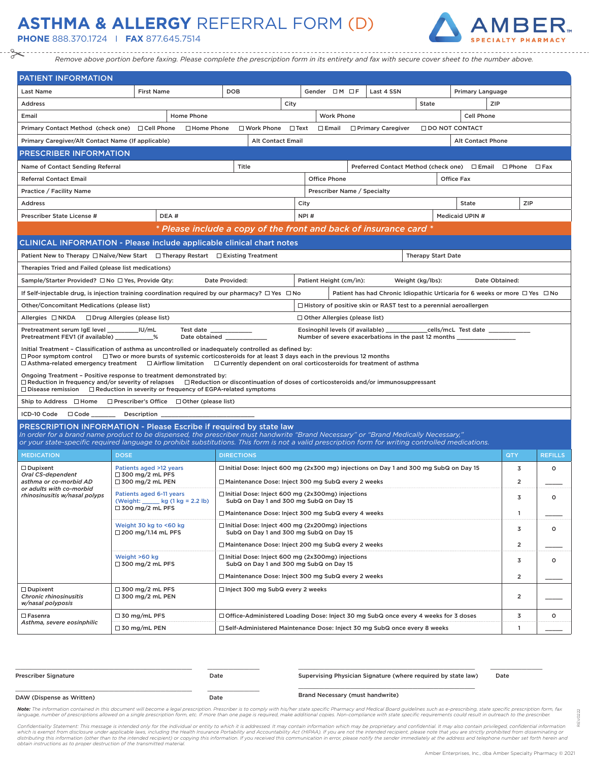## **ASTHMA & ALLERGY** REFERRAL FORM (D)

**PHONE** 888.370.1724 I **FAX** 877.645.7514



*Remove above portion before faxing. Please complete the prescription form in its entirety and fax with secure cover sheet to the number above.*

| <b>PATIENT INFORMATION</b>                                                                                                                                                                                                                                                                                                                                                                       |                                                               |                                                                    |                                                                                                     |      |                         |                             |   |                                                                                       |                           |                  |                |                |
|--------------------------------------------------------------------------------------------------------------------------------------------------------------------------------------------------------------------------------------------------------------------------------------------------------------------------------------------------------------------------------------------------|---------------------------------------------------------------|--------------------------------------------------------------------|-----------------------------------------------------------------------------------------------------|------|-------------------------|-----------------------------|---|---------------------------------------------------------------------------------------|---------------------------|------------------|----------------|----------------|
| <b>Last Name</b>                                                                                                                                                                                                                                                                                                                                                                                 | <b>First Name</b>                                             |                                                                    | <b>DOB</b>                                                                                          |      |                         | Gender $\Box M \Box F$      |   | Last 4 SSN                                                                            |                           | Primary Language |                |                |
| <b>Address</b>                                                                                                                                                                                                                                                                                                                                                                                   |                                                               |                                                                    |                                                                                                     | City |                         |                             |   |                                                                                       | State                     |                  | ZIP            |                |
| Email                                                                                                                                                                                                                                                                                                                                                                                            |                                                               | Home Phone                                                         | <b>Work Phone</b><br><b>Cell Phone</b>                                                              |      |                         |                             |   |                                                                                       |                           |                  |                |                |
| Primary Contact Method (check one) □ Cell Phone                                                                                                                                                                                                                                                                                                                                                  |                                                               | □ Home Phone                                                       | $\Box$ Text<br>$\square$ Work Phone<br>$\Box$ Email<br>□ Primary Caregiver<br>$\Box$ DO NOT CONTACT |      |                         |                             |   |                                                                                       |                           |                  |                |                |
| Alt Contact Phone<br>Primary Caregiver/Alt Contact Name (If applicable)<br><b>Alt Contact Email</b>                                                                                                                                                                                                                                                                                              |                                                               |                                                                    |                                                                                                     |      |                         |                             |   |                                                                                       |                           |                  |                |                |
| <b>PRESCRIBER INFORMATION</b>                                                                                                                                                                                                                                                                                                                                                                    |                                                               |                                                                    |                                                                                                     |      |                         |                             |   |                                                                                       |                           |                  |                |                |
| Name of Contact Sending Referral                                                                                                                                                                                                                                                                                                                                                                 |                                                               |                                                                    | Title                                                                                               |      |                         |                             |   | Preferred Contact Method (check one) □ Email □ Phone                                  |                           |                  |                | $\square$ Fax  |
| <b>Office Phone</b><br><b>Office Fax</b><br><b>Referral Contact Email</b>                                                                                                                                                                                                                                                                                                                        |                                                               |                                                                    |                                                                                                     |      |                         |                             |   |                                                                                       |                           |                  |                |                |
| Practice / Facility Name                                                                                                                                                                                                                                                                                                                                                                         |                                                               |                                                                    |                                                                                                     |      |                         | Prescriber Name / Specialty |   |                                                                                       |                           |                  |                |                |
| <b>Address</b>                                                                                                                                                                                                                                                                                                                                                                                   |                                                               |                                                                    | City<br><b>State</b>                                                                                |      |                         |                             |   |                                                                                       | ZIP                       |                  |                |                |
| Prescriber State License #                                                                                                                                                                                                                                                                                                                                                                       | DEA#                                                          |                                                                    |                                                                                                     |      | NPI#                    |                             |   |                                                                                       |                           | Medicaid UPIN #  |                |                |
|                                                                                                                                                                                                                                                                                                                                                                                                  |                                                               | * Please include a copy of the front and back of insurance card *  |                                                                                                     |      |                         |                             |   |                                                                                       |                           |                  |                |                |
| <b>CLINICAL INFORMATION - Please include applicable clinical chart notes</b>                                                                                                                                                                                                                                                                                                                     |                                                               |                                                                    |                                                                                                     |      |                         |                             |   |                                                                                       |                           |                  |                |                |
| Patient New to Therapy □ Naïve/New Start □ Therapy Restart □ Existing Treatment                                                                                                                                                                                                                                                                                                                  |                                                               |                                                                    |                                                                                                     |      |                         |                             |   |                                                                                       | <b>Therapy Start Date</b> |                  |                |                |
| Therapies Tried and Failed (please list medications)                                                                                                                                                                                                                                                                                                                                             |                                                               |                                                                    |                                                                                                     |      |                         |                             |   |                                                                                       |                           |                  |                |                |
| Sample/Starter Provided? □ No □ Yes, Provide Qty:                                                                                                                                                                                                                                                                                                                                                |                                                               | Date Provided:                                                     |                                                                                                     |      | Patient Height (cm/in): |                             |   |                                                                                       | Weight (kg/lbs):          |                  | Date Obtained: |                |
| If Self-injectable drug, is injection training coordination required by our pharmacy? $\square$ Yes $\square$ No                                                                                                                                                                                                                                                                                 |                                                               |                                                                    |                                                                                                     |      |                         |                             |   | Patient has had Chronic Idiopathic Urticaria for 6 weeks or more $\Box$ Yes $\Box$ No |                           |                  |                |                |
| Other/Concomitant Medications (please list)                                                                                                                                                                                                                                                                                                                                                      |                                                               |                                                                    |                                                                                                     |      |                         |                             |   | $\Box$ History of positive skin or RAST test to a perennial aeroallergen              |                           |                  |                |                |
|                                                                                                                                                                                                                                                                                                                                                                                                  |                                                               |                                                                    |                                                                                                     |      |                         |                             |   |                                                                                       |                           |                  |                |                |
| Allergies □NKDA □ Drug Allergies (please list)<br>$\Box$ Other Allergies (please list)<br>Pretreatment serum IgE level<br>IU/mL<br>Test date<br>Eosinophil levels (if available)<br>cells/mcL Test date ___________<br>Number of severe exacerbations in the past 12 months ______                                                                                                               |                                                               |                                                                    |                                                                                                     |      |                         |                             |   |                                                                                       |                           |                  |                |                |
| Pretreatment FEV1 (if available) ___                                                                                                                                                                                                                                                                                                                                                             | $\%$                                                          | Date obtained                                                      |                                                                                                     |      |                         |                             |   |                                                                                       |                           |                  |                |                |
| Initial Treatment - Classification of asthma as uncontrolled or inadequately controlled as defined by:<br>$\Box$ Poor symptom control $\Box$ Two or more bursts of systemic corticosteroids for at least 3 days each in the previous 12 months<br>$\Box$ Asthma-related emergency treatment $\Box$ Airflow limitation $\Box$ Currently dependent on oral corticosteroids for treatment of asthma |                                                               |                                                                    |                                                                                                     |      |                         |                             |   |                                                                                       |                           |                  |                |                |
| Ongoing Treatment - Positive response to treatment demonstrated by:                                                                                                                                                                                                                                                                                                                              |                                                               |                                                                    |                                                                                                     |      |                         |                             |   |                                                                                       |                           |                  |                |                |
| $\Box$ Reduction in frequency and/or severity of relapses $\quad \Box$ Reduction or discontinuation of doses of corticosteroids and/or immunosuppressant<br>$\Box$ Disease remission                                                                                                                                                                                                             |                                                               | $\Box$ Reduction in severity or frequency of EGPA-related symptoms |                                                                                                     |      |                         |                             |   |                                                                                       |                           |                  |                |                |
| Ship to Address $\Box$ Home $\Box$ Prescriber's Office $\Box$ Other (please list)                                                                                                                                                                                                                                                                                                                |                                                               |                                                                    |                                                                                                     |      |                         |                             |   |                                                                                       |                           |                  |                |                |
| ICD-10 Code □ Code ________ Description __                                                                                                                                                                                                                                                                                                                                                       |                                                               |                                                                    |                                                                                                     |      |                         |                             |   |                                                                                       |                           |                  |                |                |
| PRESCRIPTION INFORMATION - Please Escribe if required by state law<br>In order for a brand name product to be dispensed, the prescriber must handwrite "Brand Necessary" or "Brand Medically Necessary,"                                                                                                                                                                                         |                                                               |                                                                    |                                                                                                     |      |                         |                             |   |                                                                                       |                           |                  |                |                |
| or your state-specific required language to prohibit substitutions. This form is not a valid prescription form for writing controlled medications.                                                                                                                                                                                                                                               |                                                               |                                                                    |                                                                                                     |      |                         |                             |   |                                                                                       |                           |                  |                |                |
| <b>MEDICATION</b>                                                                                                                                                                                                                                                                                                                                                                                | <b>DOSE</b>                                                   |                                                                    | <b>DIRECTIONS</b>                                                                                   |      |                         |                             |   |                                                                                       |                           |                  | QTY            | <b>REFILLS</b> |
| $\Box$ Dupixent<br>Oral CS-dependent                                                                                                                                                                                                                                                                                                                                                             | Patients aged >12 years<br>$\Box$ 300 mg/2 mL PFS             |                                                                    | $\Box$ Initial Dose: Inject 600 mg (2x300 mg) injections on Day 1 and 300 mg SubQ on Day 15         |      |                         |                             |   |                                                                                       |                           |                  | 3              | о              |
| asthma or co-morbid AD                                                                                                                                                                                                                                                                                                                                                                           | $\Box$ 300 mg/2 mL PEN                                        |                                                                    | □ Maintenance Dose: Inject 300 mg SubQ every 2 weeks                                                |      |                         |                             |   |                                                                                       | $\overline{2}$            |                  |                |                |
| or adults with co-morbid<br>rhinosinusitis w/nasal polyps                                                                                                                                                                                                                                                                                                                                        | Patients aged 6-11 years<br>(Weight: _____ kg (1 kg = 2.2 lb) |                                                                    | $\Box$ Initial Dose: Inject 600 mg (2x300mg) injections<br>SubQ on Day 1 and 300 mg SubQ on Day 15  |      |                         |                             |   |                                                                                       | 3                         | о                |                |                |
|                                                                                                                                                                                                                                                                                                                                                                                                  | $\Box$ 300 mg/2 mL PFS                                        |                                                                    | □ Maintenance Dose: Inject 300 mg SubQ every 4 weeks                                                |      |                         |                             |   |                                                                                       |                           |                  | $\mathbf{1}$   |                |
| □ Initial Dose: Inject 400 mg (2x200mg) injections<br>Weight 30 kg to <60 kg<br>$\Box$ 200 mg/1.14 mL PFS<br>SubQ on Day 1 and 300 mg SubQ on Day 15                                                                                                                                                                                                                                             |                                                               |                                                                    |                                                                                                     |      |                         |                             | 3 | $\circ$                                                                               |                           |                  |                |                |
|                                                                                                                                                                                                                                                                                                                                                                                                  |                                                               | □ Maintenance Dose: Inject 200 mg SubQ every 2 weeks               |                                                                                                     |      |                         |                             |   | $\overline{2}$                                                                        |                           |                  |                |                |
| Weight >60 kg<br>$\Box$ Initial Dose: Inject 600 mg (2x300mg) injections<br>$\Box$ 300 mg/2 mL PFS<br>SubQ on Day 1 and 300 mg SubQ on Day 15                                                                                                                                                                                                                                                    |                                                               |                                                                    |                                                                                                     |      |                         |                             |   | 3                                                                                     | 0                         |                  |                |                |
|                                                                                                                                                                                                                                                                                                                                                                                                  |                                                               |                                                                    | □ Maintenance Dose: Inject 300 mg SubQ every 2 weeks                                                |      |                         |                             |   |                                                                                       |                           | $\overline{2}$   |                |                |
| $\Box$ Dupixent<br><b>Chronic rhinosinusitis</b><br>w/nasal polyposis                                                                                                                                                                                                                                                                                                                            | $\Box$ 300 mg/2 mL PFS<br>$\Box$ 300 mg/2 mL PEN              |                                                                    | □ Inject 300 mg SubQ every 2 weeks                                                                  |      |                         |                             |   |                                                                                       | $\overline{2}$            |                  |                |                |
| $\Box$ Fasenra                                                                                                                                                                                                                                                                                                                                                                                   | $\Box$ 30 mg/mL PFS                                           |                                                                    | □ Office-Administered Loading Dose: Inject 30 mg SubQ once every 4 weeks for 3 doses                |      |                         |                             |   |                                                                                       |                           |                  | 3              | о              |
| Asthma, severe eosinphilic                                                                                                                                                                                                                                                                                                                                                                       | $\Box$ 30 mg/mL PEN                                           |                                                                    | □ Self-Administered Maintenance Dose: Inject 30 mg SubQ once every 8 weeks                          |      |                         |                             |   |                                                                                       |                           |                  | $\mathbf{1}$   |                |

| <b>Prescriber Signature</b> | Date | Supervising Physician Signature (where required by state law) | Date |
|-----------------------------|------|---------------------------------------------------------------|------|
| DAW (Dispense as Written)   | Date | Brand Necessary (must handwrite)                              |      |

Note: The information contained in this document will become a legal prescription. Prescriber is to comply with his/her state specific Pharmacy and Medical Board guidelines such as e-prescribing, state specific prescriptio language, number of prescriptions allowed on a single prescription form, etc. If more than one page is required, make additional copies. Non-compliance with state specific requirements could result in outreach to the presc

Confidentiality Statement: This message is intended only for the individual or entity to which it is addressed. It may contain information which may be proprietary and confidential. It may also contain privileged, confiden

REV.0222

 $222$ é